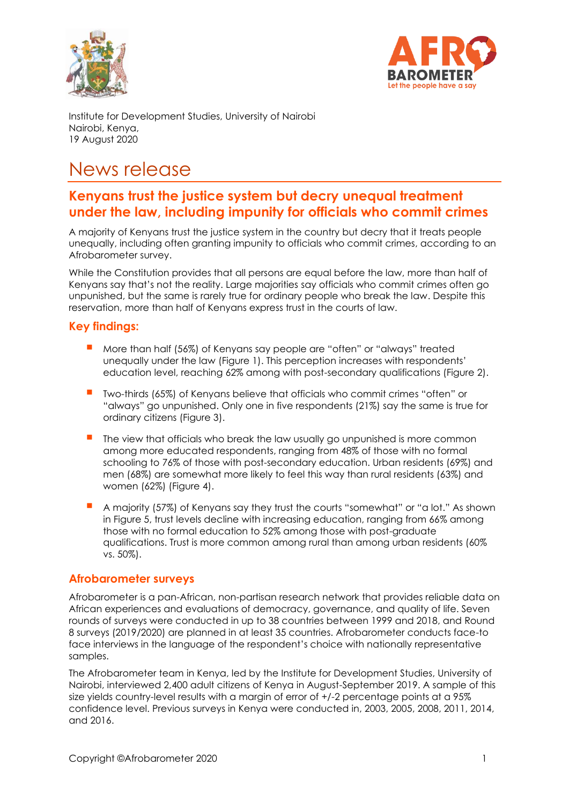



Institute for Development Studies, University of Nairobi Nairobi, Kenya, 19 August 2020

# News release

## **Kenyans trust the justice system but decry unequal treatment under the law, including impunity for officials who commit crimes**

A majority of Kenyans trust the justice system in the country but decry that it treats people unequally, including often granting impunity to officials who commit crimes, according to an Afrobarometer survey.

While the Constitution provides that all persons are equal before the law, more than half of Kenyans say that's not the reality. Large majorities say officials who commit crimes often go unpunished, but the same is rarely true for ordinary people who break the law. Despite this reservation, more than half of Kenyans express trust in the courts of law.

## **Key findings:**

- More than half (56%) of Kenyans say people are "often" or "always" treated unequally under the law (Figure 1). This perception increases with respondents' education level, reaching 62% among with post-secondary qualifications (Figure 2).
- Two-thirds (65%) of Kenyans believe that officials who commit crimes "often" or "always" go unpunished. Only one in five respondents (21%) say the same is true for ordinary citizens (Figure 3).
- The view that officials who break the law usually ao unpunished is more common among more educated respondents, ranging from 48% of those with no formal schooling to 76% of those with post-secondary education. Urban residents (69%) and men (68%) are somewhat more likely to feel this way than rural residents (63%) and women (62%) (Figure 4).
- A majority (57%) of Kenyans say they trust the courts "somewhat" or "a lot." As shown in Figure 5, trust levels decline with increasing education, ranging from 66% among those with no formal education to 52% among those with post-graduate qualifications. Trust is more common among rural than among urban residents (60% vs. 50%).

#### **Afrobarometer surveys**

Afrobarometer is a pan-African, non-partisan research network that provides reliable data on African experiences and evaluations of democracy, governance, and quality of life. Seven rounds of surveys were conducted in up to 38 countries between 1999 and 2018, and Round 8 surveys (2019/2020) are planned in at least 35 countries. Afrobarometer conducts face-to face interviews in the language of the respondent's choice with nationally representative samples.

The Afrobarometer team in Kenya, led by the Institute for Development Studies, University of Nairobi, interviewed 2,400 adult citizens of Kenya in August-September 2019. A sample of this size yields country-level results with a margin of error of  $+/-2$  percentage points at a 95% confidence level. Previous surveys in Kenya were conducted in, 2003, 2005, 2008, 2011, 2014, and 2016.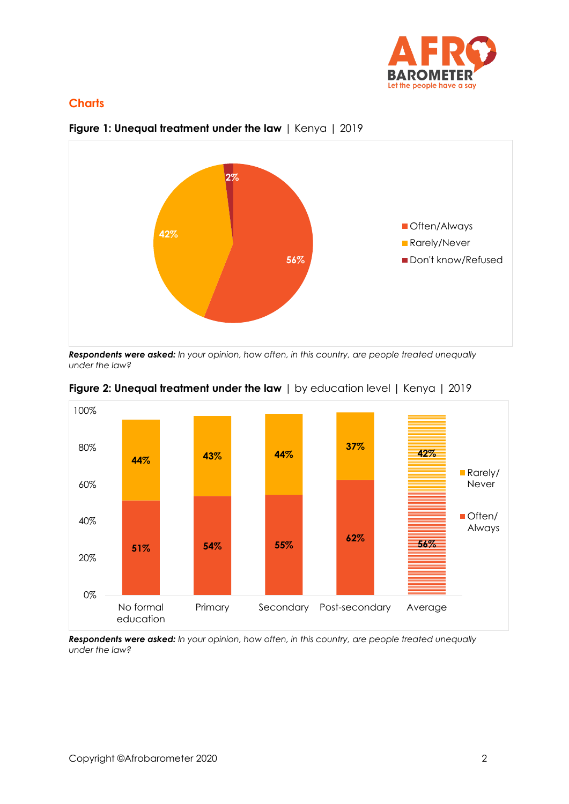

## **Charts**



## **Figure 1: Unequal treatment under the law** | Kenya | 2019

*Respondents were asked: In your opinion, how often, in this country, are people treated unequally under the law?*





*Respondents were asked: In your opinion, how often, in this country, are people treated unequally under the law?*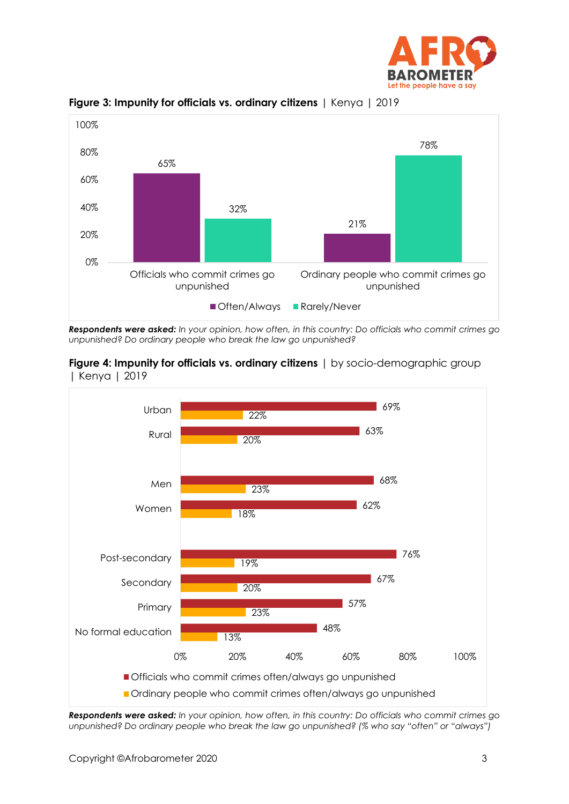



**Figure 3: Impunity for officials vs. ordinary citizens** | Kenya | 2019

*Respondents were asked: In your opinion, how often, in this country: Do officials who commit crimes go unpunished? Do ordinary people who break the law go unpunished?*





*Respondents were asked: In your opinion, how often, in this country: Do officials who commit crimes go unpunished? Do ordinary people who break the law go unpunished? (% who say "often" or "always")*